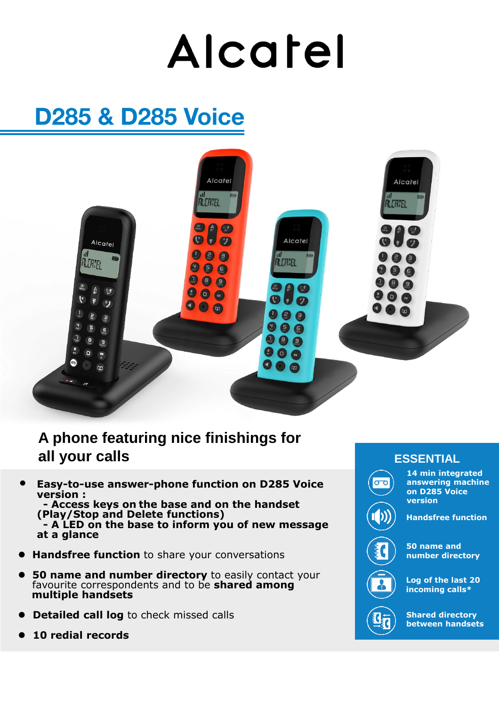# Alcatel

## **D285 & D285 Voice**



## **A phone featuring nice finishings for all your calls**

• **Easy-to-use answer-phone function on D285 Voice version :**

**- Access keys on the base and on the handset (Play/Stop and Delete functions) - A LED on the base to inform you of new message at a glance**

- ⚫ **Handsfree function** to share your conversations
- ⚫ **50 name and number directory** to easily contact your favourite correspondents and to be **shared among multiple handsets**
- ⚫ **Detailed call log** to check missed calls
- ⚫ **10 redial records**

#### **ESSENTIAL**

**14 min integrated answering machine on D285 Voice version**





**50 name and number directory**

**Log of the last 20 incoming calls\*** 



**Shared directory between handsets**